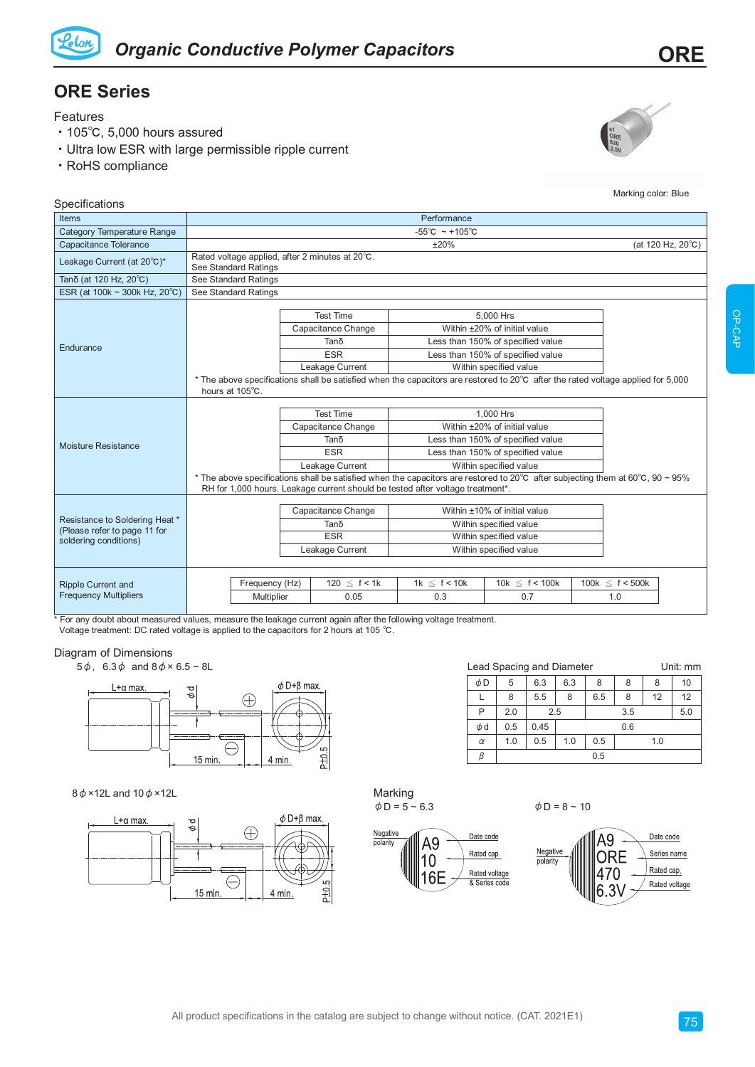

## **ORE Series**

Features

- ‧105℃, 5,000 hours assured
- ‧Ultra low ESR with large permissible ripple current
- ‧RoHS compliance



Marking color: Blue

| Specifications                                                                          |                                                                                                                                                     |                                                                                                                                                                                                                                                                                                                                                                                                                                                      |                                                                                                            |                                                                                                                                               |                             |  |  |
|-----------------------------------------------------------------------------------------|-----------------------------------------------------------------------------------------------------------------------------------------------------|------------------------------------------------------------------------------------------------------------------------------------------------------------------------------------------------------------------------------------------------------------------------------------------------------------------------------------------------------------------------------------------------------------------------------------------------------|------------------------------------------------------------------------------------------------------------|-----------------------------------------------------------------------------------------------------------------------------------------------|-----------------------------|--|--|
| <b>Items</b>                                                                            | Performance                                                                                                                                         |                                                                                                                                                                                                                                                                                                                                                                                                                                                      |                                                                                                            |                                                                                                                                               |                             |  |  |
| <b>Category Temperature Range</b>                                                       | $-55^{\circ}$ C ~ +105 $^{\circ}$ C                                                                                                                 |                                                                                                                                                                                                                                                                                                                                                                                                                                                      |                                                                                                            |                                                                                                                                               |                             |  |  |
| Capacitance Tolerance                                                                   | (at 120 Hz, 20°C)<br>±20%                                                                                                                           |                                                                                                                                                                                                                                                                                                                                                                                                                                                      |                                                                                                            |                                                                                                                                               |                             |  |  |
| Leakage Current (at 20°C)*                                                              | Rated voltage applied, after 2 minutes at 20°C.<br>See Standard Ratings                                                                             |                                                                                                                                                                                                                                                                                                                                                                                                                                                      |                                                                                                            |                                                                                                                                               |                             |  |  |
| Tanδ (at 120 Hz, 20°C)                                                                  | See Standard Ratings                                                                                                                                |                                                                                                                                                                                                                                                                                                                                                                                                                                                      |                                                                                                            |                                                                                                                                               |                             |  |  |
| ESR (at 100k $\sim$ 300k Hz, 20 $^{\circ}$ C)                                           | See Standard Ratings                                                                                                                                |                                                                                                                                                                                                                                                                                                                                                                                                                                                      |                                                                                                            |                                                                                                                                               |                             |  |  |
| Endurance                                                                               |                                                                                                                                                     | <b>Test Time</b><br>Capacitance Change<br>Tanδ<br><b>ESR</b><br>Leakage Current                                                                                                                                                                                                                                                                                                                                                                      |                                                                                                            | 5.000 Hrs<br>Within ±20% of initial value<br>Less than 150% of specified value<br>Less than 150% of specified value<br>Within specified value |                             |  |  |
|                                                                                         | * The above specifications shall be satisfied when the capacitors are restored to 20°C after the rated voltage applied for 5,000<br>hours at 105°C. |                                                                                                                                                                                                                                                                                                                                                                                                                                                      |                                                                                                            |                                                                                                                                               |                             |  |  |
| Moisture Resistance                                                                     |                                                                                                                                                     | <b>Test Time</b><br>1.000 Hrs<br>Within ±20% of initial value<br>Capacitance Change<br>Tanδ<br>Less than 150% of specified value<br><b>ESR</b><br>Less than 150% of specified value<br>Within specified value<br>Leakage Current<br>* The above specifications shall be satisfied when the capacitors are restored to 20°C after subjecting them at 60°C, 90 ~ 95%<br>RH for 1,000 hours. Leakage current should be tested after voltage treatment*. |                                                                                                            |                                                                                                                                               |                             |  |  |
| Resistance to Soldering Heat *<br>(Please refer to page 11 for<br>soldering conditions) |                                                                                                                                                     | Capacitance Change<br>Tanδ<br><b>ESR</b><br>Leakage Current                                                                                                                                                                                                                                                                                                                                                                                          | Within ±10% of initial value<br>Within specified value<br>Within specified value<br>Within specified value |                                                                                                                                               |                             |  |  |
| <b>Ripple Current and</b><br><b>Frequency Multipliers</b>                               | Frequency (Hz)<br>Multiplier                                                                                                                        | $120 \le f < 1k$<br>0.05                                                                                                                                                                                                                                                                                                                                                                                                                             | $1k \leq f < 10k$<br>0.3                                                                                   | 10k $\leq f < 100k$<br>0.7                                                                                                                    | 100k $\leq$ f < 500k<br>1.0 |  |  |

 $\frac{1}{10}$  For any doubt about measured values, measure the leakage current again after the following voltage treatment. Voltage treatment: DC rated voltage is applied to the capacitors for 2 hours at 105 ℃.

## Diagram of Dimensions

 $5\phi$ ,  $6.3\phi$  and  $8\phi \times 6.5 \sim 8$ L<br>
Lead Spacing and Diameter Unit: mm



## $8\phi$  ×12L and  $10\phi$  ×12L



| Marking            |
|--------------------|
|                    |
| $\phi$ D = 5 ~ 6.3 |



 $\phi$  D = 8 ~ 10

 $\phi$ d 0.5 0.45 0.6  $\alpha$  | 1.0 | 0.5 | 1.0 | 0.5 | 1.0

 $\beta$  0.5

 $\phi$ D | 5 | 6.3 | 6.3 | 8 | 8 | 8 | 10 L | 8 | 5.5 | 8 | 6.5 | 8 | 12 | 12 P 2.0 2.5 3.5 5.0

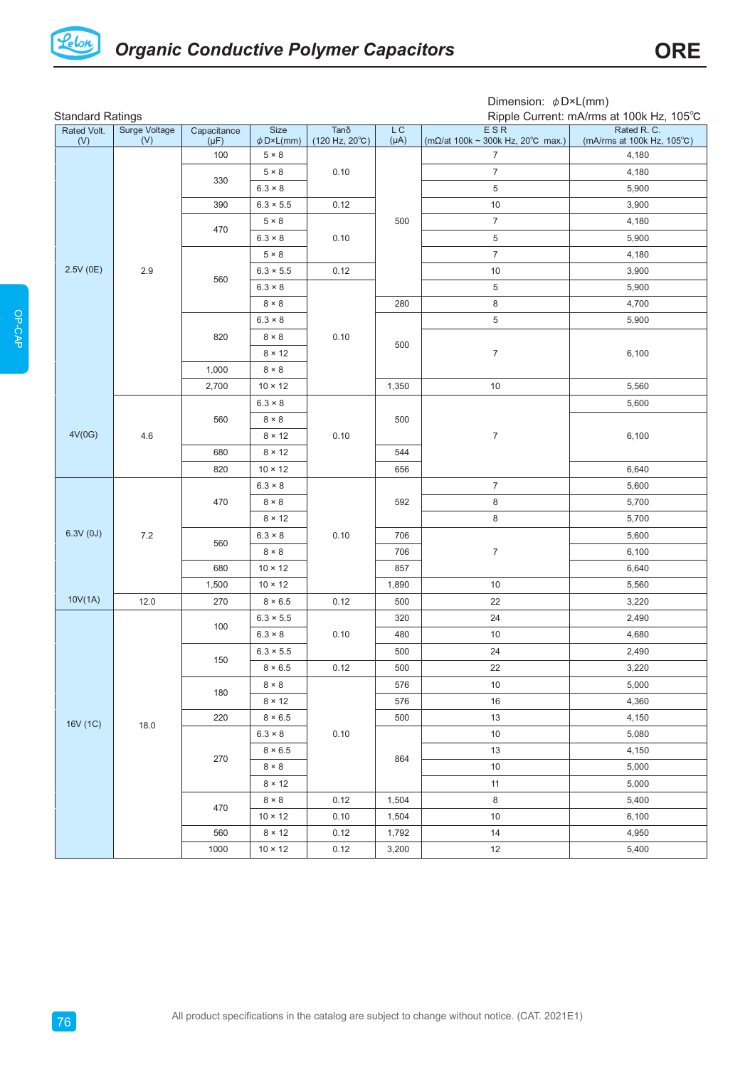

Dimension: φD×L(mm)

| <b>Standard Ratings</b><br>Ripple Current: mA/rms at 100k Hz, 105°C |                      |                          |                        |                                                       |                 |                                                                                               |                                           |
|---------------------------------------------------------------------|----------------------|--------------------------|------------------------|-------------------------------------------------------|-----------------|-----------------------------------------------------------------------------------------------|-------------------------------------------|
| Rated Volt.<br>(V)                                                  | Surge Voltage<br>(V) | Capacitance<br>$(\mu F)$ | Size<br>$\phi$ D×L(mm) | $Tan\delta$<br>$(120 \text{ Hz}, 20^{\circ}\text{C})$ | LC<br>$(\mu A)$ | ESR<br>$(m\Omega/\text{at} 100\text{k} \sim 300\text{k Hz}, 20^{\circ}\text{C} \text{ max.})$ | Rated R. C.<br>(mA/rms at 100k Hz, 105°C) |
|                                                                     |                      | 100                      | $5 \times 8$           |                                                       |                 | $\overline{7}$                                                                                | 4,180                                     |
|                                                                     |                      |                          | $5 \times 8$           | 0.10                                                  |                 | $\overline{7}$                                                                                | 4,180                                     |
|                                                                     |                      | 330                      | $6.3 \times 8$         |                                                       |                 | $\,$ 5 $\,$                                                                                   | 5,900                                     |
|                                                                     |                      | 390                      | $6.3 \times 5.5$       | 0.12                                                  |                 | $10$                                                                                          | 3,900                                     |
|                                                                     |                      |                          | $5 \times 8$           | 0.10                                                  | 500             | $\boldsymbol{7}$                                                                              | 4,180                                     |
|                                                                     |                      | 470                      | $6.3 \times 8$         |                                                       |                 | $\,$ 5 $\,$                                                                                   | 5,900                                     |
|                                                                     |                      | 560<br>820               | $5 \times 8$           |                                                       |                 | $\boldsymbol{7}$                                                                              | 4,180                                     |
| 2.5V(0E)                                                            | $2.9\,$              |                          | $6.3 \times 5.5$       | 0.12                                                  |                 | $10$                                                                                          | 3,900                                     |
|                                                                     |                      |                          | $6.3 \times 8$         |                                                       |                 | $\,$ 5 $\,$                                                                                   | 5,900                                     |
|                                                                     |                      |                          | $8\times8$             | 0.10                                                  | 280             | $\bf 8$                                                                                       | 4,700                                     |
|                                                                     |                      |                          | $6.3 \times 8$         |                                                       |                 | $\,$ 5 $\,$                                                                                   | 5,900                                     |
|                                                                     |                      |                          | $8 \times 8$           |                                                       | 500             |                                                                                               |                                           |
|                                                                     |                      |                          | $8 \times 12$          |                                                       |                 | $\boldsymbol{7}$                                                                              | 6,100                                     |
|                                                                     |                      | 1,000                    | $8 \times 8$           |                                                       |                 |                                                                                               |                                           |
|                                                                     |                      | 2,700                    | $10 \times 12$         |                                                       | 1,350           | 10                                                                                            | 5,560                                     |
|                                                                     |                      |                          | $6.3 \times 8$         |                                                       |                 |                                                                                               | 5,600                                     |
|                                                                     |                      | 560                      | $8 \times 8$           |                                                       | 500             | $\boldsymbol{7}$                                                                              | 6,100                                     |
| 4V(0G)                                                              | 4.6                  |                          | $8 \times 12$          | 0.10                                                  |                 |                                                                                               |                                           |
|                                                                     |                      | 680                      | $8 \times 12$          |                                                       | 544             |                                                                                               |                                           |
|                                                                     |                      | 820                      | $10 \times 12$         |                                                       | 656             |                                                                                               | 6,640                                     |
|                                                                     |                      | 470                      | $6.3 \times 8$         | 0.10                                                  | 592             | $\boldsymbol{7}$                                                                              | 5,600                                     |
|                                                                     |                      |                          | $8 \times 8$           |                                                       |                 | $\bf 8$                                                                                       | 5,700                                     |
|                                                                     |                      |                          | $8 \times 12$          |                                                       |                 | 8                                                                                             | 5,700                                     |
| 6.3V(0J)                                                            | $7.2\,$              | 560<br>680               | $6.3 \times 8$         |                                                       | 706             | $\boldsymbol{7}$                                                                              | 5,600                                     |
|                                                                     |                      |                          | $8 \times 8$           |                                                       | 706             |                                                                                               | 6,100                                     |
|                                                                     |                      |                          | $10 \times 12$         |                                                       | 857             |                                                                                               | 6,640                                     |
|                                                                     |                      | 1,500                    | $10 \times 12$         |                                                       | 1,890           | $10$                                                                                          | 5,560                                     |
| 10V(1A)                                                             | 12.0                 | 270                      | $8 \times 6.5$         | 0.12                                                  | 500             | 22                                                                                            | 3,220                                     |
| 16V (1C)                                                            |                      | 100                      | $6.3 \times 5.5$       | 0.10                                                  | 320             | 24                                                                                            | 2,490                                     |
|                                                                     |                      |                          | $6.3 \times 8$         |                                                       | 480             | 10                                                                                            | 4,680                                     |
|                                                                     |                      | 150                      | $6.3 \times 5.5$       |                                                       | 500             | $24\,$                                                                                        | 2,490                                     |
|                                                                     |                      |                          | $8\times6.5$           | 0.12                                                  | 500             | 22                                                                                            | 3,220                                     |
|                                                                     |                      | 180                      | $8 \times 8$           | 0.10                                                  | 576             | 10                                                                                            | 5,000                                     |
|                                                                     |                      |                          | $8 \times 12$          |                                                       | 576             | $16\,$                                                                                        | 4,360                                     |
|                                                                     | 18.0                 | 220                      | $8 \times 6.5$         |                                                       | 500             | 13                                                                                            | 4,150                                     |
|                                                                     |                      | 270                      | $6.3 \times 8$         |                                                       | 864             | $10$                                                                                          | 5,080                                     |
|                                                                     |                      |                          | $8 \times 6.5$         |                                                       |                 | $13$                                                                                          | 4,150                                     |
|                                                                     |                      |                          | $8 \times 8$           |                                                       |                 | 10                                                                                            | 5,000                                     |
|                                                                     |                      |                          | $8 \times 12$          |                                                       |                 | 11                                                                                            | 5,000                                     |
|                                                                     |                      | 470                      | $8 \times 8$           | 0.12                                                  | 1,504           | 8                                                                                             | 5,400                                     |
|                                                                     |                      |                          | $10 \times 12$         | 0.10                                                  | 1,504           | $10$                                                                                          | 6,100                                     |
|                                                                     |                      | 560                      | $8 \times 12$          | 0.12                                                  | 1,792           | 14                                                                                            | 4,950                                     |
|                                                                     |                      | 1000                     | $10 \times 12$         | 0.12                                                  | 3,200           | 12                                                                                            | 5,400                                     |